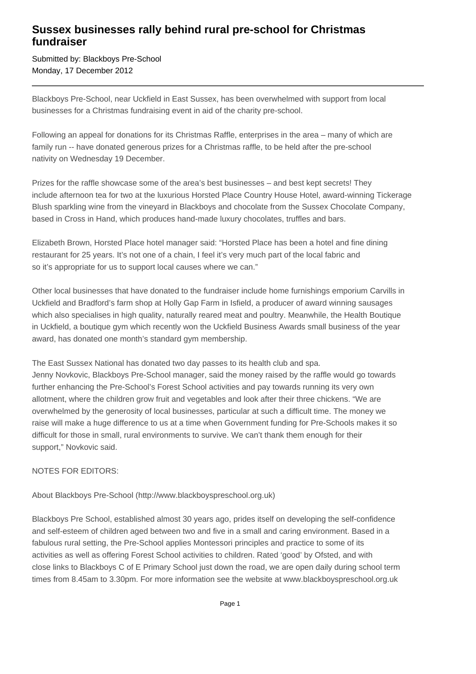## **Sussex businesses rally behind rural pre-school for Christmas fundraiser**

Submitted by: Blackboys Pre-School Monday, 17 December 2012

Blackboys Pre-School, near Uckfield in East Sussex, has been overwhelmed with support from local businesses for a Christmas fundraising event in aid of the charity pre-school.

Following an appeal for donations for its Christmas Raffle, enterprises in the area – many of which are family run -- have donated generous prizes for a Christmas raffle, to be held after the pre-school nativity on Wednesday 19 December.

Prizes for the raffle showcase some of the area's best businesses – and best kept secrets! They include afternoon tea for two at the luxurious Horsted Place Country House Hotel, award-winning Tickerage Blush sparkling wine from the vineyard in Blackboys and chocolate from the Sussex Chocolate Company, based in Cross in Hand, which produces hand-made luxury chocolates, truffles and bars.

Elizabeth Brown, Horsted Place hotel manager said: "Horsted Place has been a hotel and fine dining restaurant for 25 years. It's not one of a chain, I feel it's very much part of the local fabric and so it's appropriate for us to support local causes where we can."

Other local businesses that have donated to the fundraiser include home furnishings emporium Carvills in Uckfield and Bradford's farm shop at Holly Gap Farm in Isfield, a producer of award winning sausages which also specialises in high quality, naturally reared meat and poultry. Meanwhile, the Health Boutique in Uckfield, a boutique gym which recently won the Uckfield Business Awards small business of the year award, has donated one month's standard gym membership.

The East Sussex National has donated two day passes to its health club and spa. Jenny Novkovic, Blackboys Pre-School manager, said the money raised by the raffle would go towards further enhancing the Pre-School's Forest School activities and pay towards running its very own allotment, where the children grow fruit and vegetables and look after their three chickens. "We are overwhelmed by the generosity of local businesses, particular at such a difficult time. The money we raise will make a huge difference to us at a time when Government funding for Pre-Schools makes it so difficult for those in small, rural environments to survive. We can't thank them enough for their support," Novkovic said.

NOTES FOR EDITORS:

About Blackboys Pre-School (http://www.blackboyspreschool.org.uk)

Blackboys Pre School, established almost 30 years ago, prides itself on developing the self-confidence and self-esteem of children aged between two and five in a small and caring environment. Based in a fabulous rural setting, the Pre-School applies Montessori principles and practice to some of its activities as well as offering Forest School activities to children. Rated 'good' by Ofsted, and with close links to Blackboys C of E Primary School just down the road, we are open daily during school term times from 8.45am to 3.30pm. For more information see the website at www.blackboyspreschool.org.uk